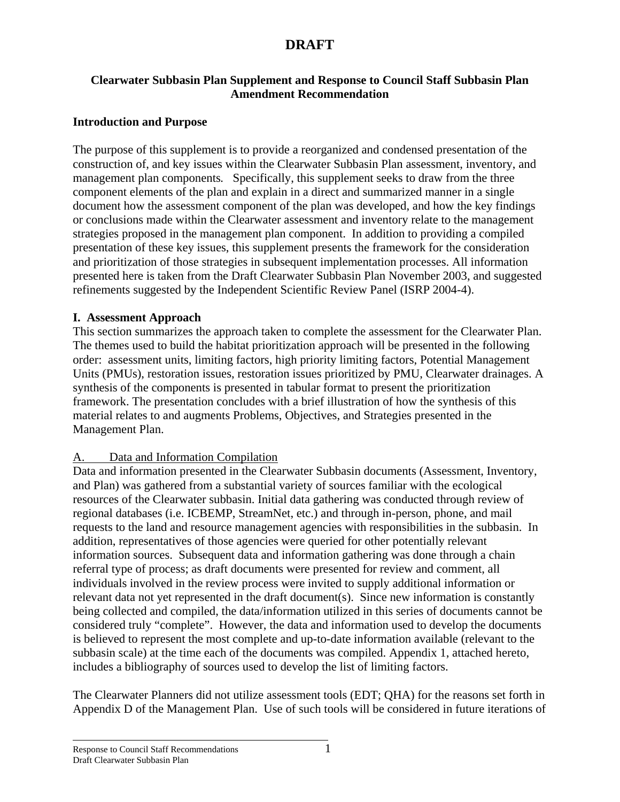#### **Clearwater Subbasin Plan Supplement and Response to Council Staff Subbasin Plan Amendment Recommendation**

### **Introduction and Purpose**

The purpose of this supplement is to provide a reorganized and condensed presentation of the construction of, and key issues within the Clearwater Subbasin Plan assessment, inventory, and management plan components*.* Specifically, this supplement seeks to draw from the three component elements of the plan and explain in a direct and summarized manner in a single document how the assessment component of the plan was developed, and how the key findings or conclusions made within the Clearwater assessment and inventory relate to the management strategies proposed in the management plan component. In addition to providing a compiled presentation of these key issues, this supplement presents the framework for the consideration and prioritization of those strategies in subsequent implementation processes. All information presented here is taken from the Draft Clearwater Subbasin Plan November 2003, and suggested refinements suggested by the Independent Scientific Review Panel (ISRP 2004-4).

#### **I. Assessment Approach**

This section summarizes the approach taken to complete the assessment for the Clearwater Plan. The themes used to build the habitat prioritization approach will be presented in the following order: assessment units, limiting factors, high priority limiting factors, Potential Management Units (PMUs), restoration issues, restoration issues prioritized by PMU, Clearwater drainages. A synthesis of the components is presented in tabular format to present the prioritization framework. The presentation concludes with a brief illustration of how the synthesis of this material relates to and augments Problems, Objectives, and Strategies presented in the Management Plan.

### A. Data and Information Compilation

Data and information presented in the Clearwater Subbasin documents (Assessment, Inventory, and Plan) was gathered from a substantial variety of sources familiar with the ecological resources of the Clearwater subbasin. Initial data gathering was conducted through review of regional databases (i.e. ICBEMP, StreamNet, etc.) and through in-person, phone, and mail requests to the land and resource management agencies with responsibilities in the subbasin. In addition, representatives of those agencies were queried for other potentially relevant information sources. Subsequent data and information gathering was done through a chain referral type of process; as draft documents were presented for review and comment, all individuals involved in the review process were invited to supply additional information or relevant data not yet represented in the draft document(s). Since new information is constantly being collected and compiled, the data/information utilized in this series of documents cannot be considered truly "complete". However, the data and information used to develop the documents is believed to represent the most complete and up-to-date information available (relevant to the subbasin scale) at the time each of the documents was compiled. Appendix 1, attached hereto, includes a bibliography of sources used to develop the list of limiting factors.

The Clearwater Planners did not utilize assessment tools (EDT; QHA) for the reasons set forth in Appendix D of the Management Plan. Use of such tools will be considered in future iterations of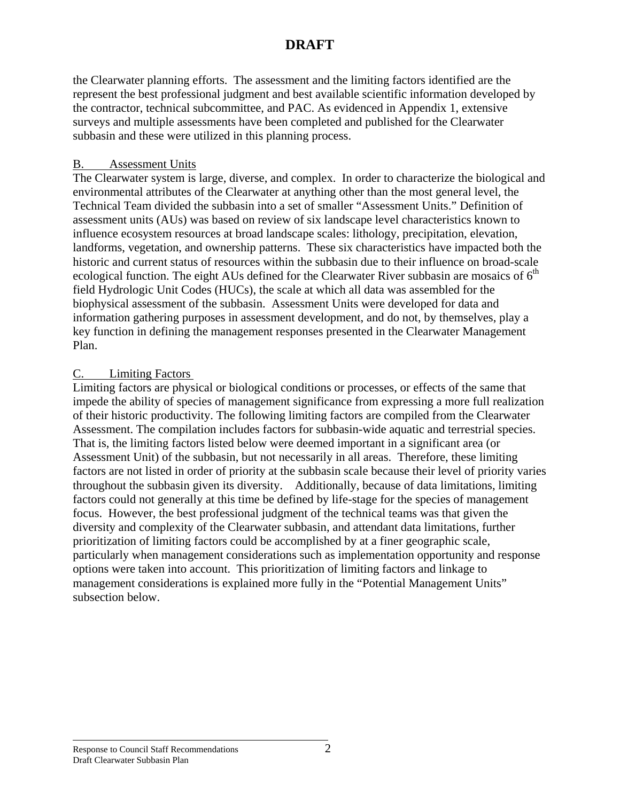the Clearwater planning efforts. The assessment and the limiting factors identified are the represent the best professional judgment and best available scientific information developed by the contractor, technical subcommittee, and PAC. As evidenced in Appendix 1, extensive surveys and multiple assessments have been completed and published for the Clearwater subbasin and these were utilized in this planning process.

### B. Assessment Units

The Clearwater system is large, diverse, and complex. In order to characterize the biological and environmental attributes of the Clearwater at anything other than the most general level, the Technical Team divided the subbasin into a set of smaller "Assessment Units." Definition of assessment units (AUs) was based on review of six landscape level characteristics known to influence ecosystem resources at broad landscape scales: lithology, precipitation, elevation, landforms, vegetation, and ownership patterns. These six characteristics have impacted both the historic and current status of resources within the subbasin due to their influence on broad-scale ecological function. The eight AUs defined for the Clearwater River subbasin are mosaics of  $6<sup>th</sup>$ field Hydrologic Unit Codes (HUCs), the scale at which all data was assembled for the biophysical assessment of the subbasin. Assessment Units were developed for data and information gathering purposes in assessment development, and do not, by themselves, play a key function in defining the management responses presented in the Clearwater Management Plan.

### C. Limiting Factors

Limiting factors are physical or biological conditions or processes, or effects of the same that impede the ability of species of management significance from expressing a more full realization of their historic productivity. The following limiting factors are compiled from the Clearwater Assessment. The compilation includes factors for subbasin-wide aquatic and terrestrial species. That is, the limiting factors listed below were deemed important in a significant area (or Assessment Unit) of the subbasin, but not necessarily in all areas. Therefore, these limiting factors are not listed in order of priority at the subbasin scale because their level of priority varies throughout the subbasin given its diversity. Additionally, because of data limitations, limiting factors could not generally at this time be defined by life-stage for the species of management focus. However, the best professional judgment of the technical teams was that given the diversity and complexity of the Clearwater subbasin, and attendant data limitations, further prioritization of limiting factors could be accomplished by at a finer geographic scale, particularly when management considerations such as implementation opportunity and response options were taken into account. This prioritization of limiting factors and linkage to management considerations is explained more fully in the "Potential Management Units" subsection below.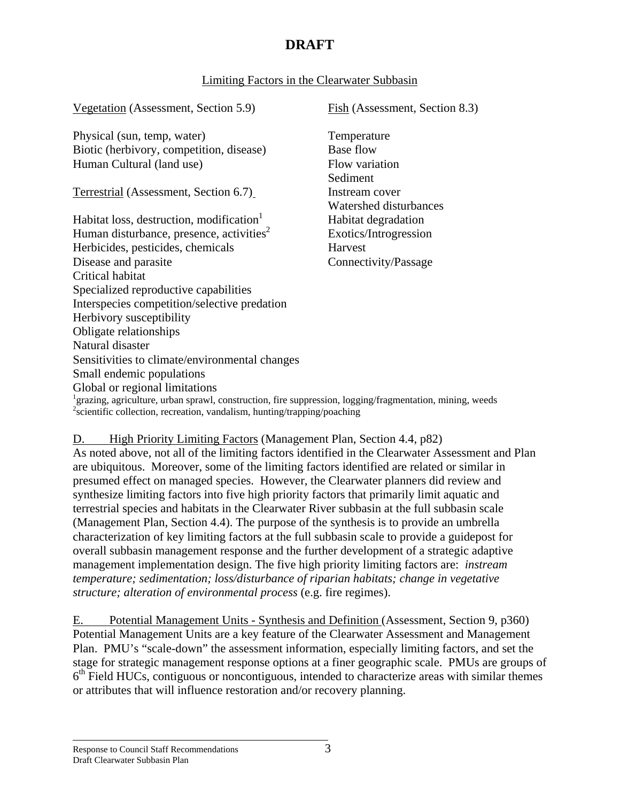### Limiting Factors in the Clearwater Subbasin

Vegetation (Assessment, Section 5.9) Fish (Assessment, Section 8.3)

Physical (sun, temp, water) Temperature Biotic (herbivory, competition, disease) Base flow Human Cultural (land use) Flow variation

Terrestrial (Assessment, Section 6.7) Instream cover

Habitat loss, destruction, modification<sup>1</sup> Habitat degradation Human disturbance, presence, activities<sup>2</sup> Exotics/Introgression Herbicides, pesticides, chemicals Harvest Disease and parasite Connectivity/Passage Critical habitat Specialized reproductive capabilities Interspecies competition/selective predation Herbivory susceptibility Obligate relationships Natural disaster Sensitivities to climate/environmental changes Small endemic populations Global or regional limitations

 Sediment Watershed disturbances

<sup>1</sup>grazing, agriculture, urban sprawl, construction, fire suppression, logging/fragmentation, mining, weeds <sup>2</sup>scientific collection, recreation, vandalism, hunting/trapping/poaching

#### D. High Priority Limiting Factors (Management Plan, Section 4.4, p82)

As noted above, not all of the limiting factors identified in the Clearwater Assessment and Plan are ubiquitous. Moreover, some of the limiting factors identified are related or similar in presumed effect on managed species. However, the Clearwater planners did review and synthesize limiting factors into five high priority factors that primarily limit aquatic and terrestrial species and habitats in the Clearwater River subbasin at the full subbasin scale (Management Plan, Section 4.4). The purpose of the synthesis is to provide an umbrella characterization of key limiting factors at the full subbasin scale to provide a guidepost for overall subbasin management response and the further development of a strategic adaptive management implementation design. The five high priority limiting factors are: *instream temperature; sedimentation; loss/disturbance of riparian habitats; change in vegetative structure; alteration of environmental process* (e.g. fire regimes).

E. Potential Management Units - Synthesis and Definition (Assessment, Section 9, p360) Potential Management Units are a key feature of the Clearwater Assessment and Management Plan. PMU's "scale-down" the assessment information, especially limiting factors, and set the stage for strategic management response options at a finer geographic scale. PMUs are groups of  $6<sup>th</sup>$  Field HUCs, contiguous or noncontiguous, intended to characterize areas with similar themes or attributes that will influence restoration and/or recovery planning.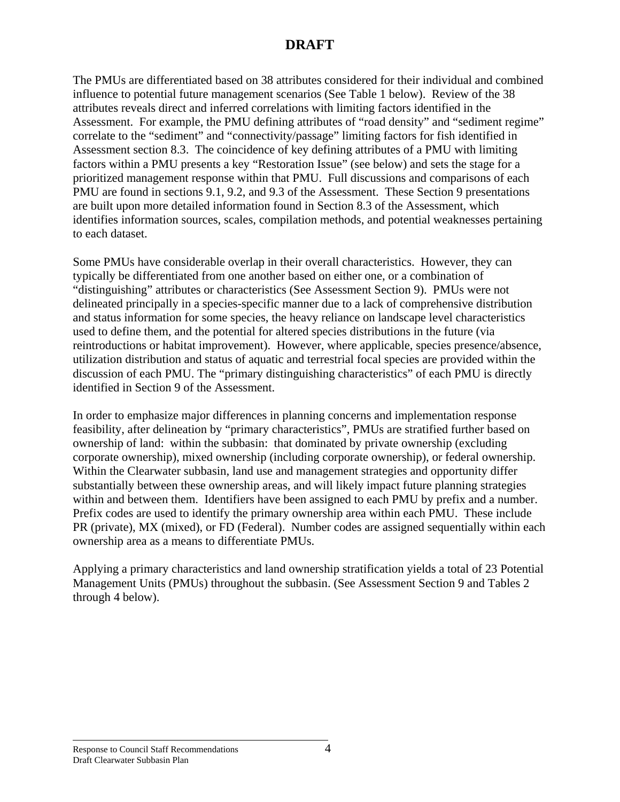The PMUs are differentiated based on 38 attributes considered for their individual and combined influence to potential future management scenarios (See Table 1 below). Review of the 38 attributes reveals direct and inferred correlations with limiting factors identified in the Assessment. For example, the PMU defining attributes of "road density" and "sediment regime" correlate to the "sediment" and "connectivity/passage" limiting factors for fish identified in Assessment section 8.3. The coincidence of key defining attributes of a PMU with limiting factors within a PMU presents a key "Restoration Issue" (see below) and sets the stage for a prioritized management response within that PMU. Full discussions and comparisons of each PMU are found in sections 9.1, 9.2, and 9.3 of the Assessment. These Section 9 presentations are built upon more detailed information found in Section 8.3 of the Assessment, which identifies information sources, scales, compilation methods, and potential weaknesses pertaining to each dataset.

Some PMUs have considerable overlap in their overall characteristics. However, they can typically be differentiated from one another based on either one, or a combination of "distinguishing" attributes or characteristics (See Assessment Section 9). PMUs were not delineated principally in a species-specific manner due to a lack of comprehensive distribution and status information for some species, the heavy reliance on landscape level characteristics used to define them, and the potential for altered species distributions in the future (via reintroductions or habitat improvement). However, where applicable, species presence/absence, utilization distribution and status of aquatic and terrestrial focal species are provided within the discussion of each PMU. The "primary distinguishing characteristics" of each PMU is directly identified in Section 9 of the Assessment.

In order to emphasize major differences in planning concerns and implementation response feasibility, after delineation by "primary characteristics", PMUs are stratified further based on ownership of land: within the subbasin: that dominated by private ownership (excluding corporate ownership), mixed ownership (including corporate ownership), or federal ownership. Within the Clearwater subbasin, land use and management strategies and opportunity differ substantially between these ownership areas, and will likely impact future planning strategies within and between them. Identifiers have been assigned to each PMU by prefix and a number. Prefix codes are used to identify the primary ownership area within each PMU. These include PR (private), MX (mixed), or FD (Federal). Number codes are assigned sequentially within each ownership area as a means to differentiate PMUs.

Applying a primary characteristics and land ownership stratification yields a total of 23 Potential Management Units (PMUs) throughout the subbasin. (See Assessment Section 9 and Tables 2 through 4 below).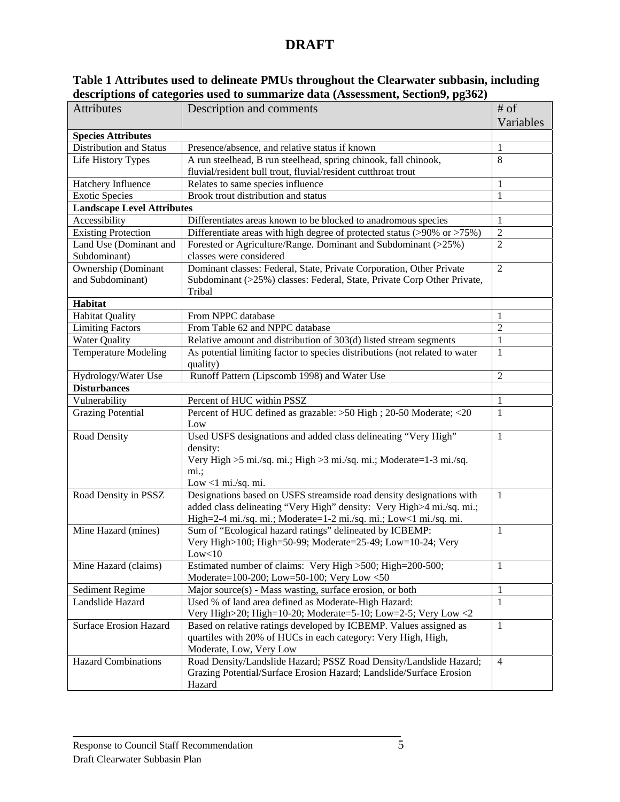| Table 1 Attributes used to delineate PMUs throughout the Clearwater subbasin, including |  |
|-----------------------------------------------------------------------------------------|--|
| descriptions of categories used to summarize data (Assessment, Section9, pg362)         |  |

| <b>Attributes</b>                 | Description and comments                                                                                 | $#$ of<br>Variables |
|-----------------------------------|----------------------------------------------------------------------------------------------------------|---------------------|
| <b>Species Attributes</b>         |                                                                                                          |                     |
| Distribution and Status           | Presence/absence, and relative status if known                                                           | 1                   |
| Life History Types                | A run steelhead, B run steelhead, spring chinook, fall chinook,                                          | 8                   |
|                                   | fluvial/resident bull trout, fluvial/resident cutthroat trout                                            |                     |
| Hatchery Influence                | Relates to same species influence                                                                        | 1                   |
| <b>Exotic Species</b>             | Brook trout distribution and status                                                                      | 1                   |
| <b>Landscape Level Attributes</b> |                                                                                                          |                     |
| Accessibility                     | Differentiates areas known to be blocked to anadromous species                                           | 1                   |
| <b>Existing Protection</b>        | Differentiate areas with high degree of protected status (>90% or >75%)                                  | $\overline{2}$      |
| Land Use (Dominant and            | Forested or Agriculture/Range. Dominant and Subdominant (>25%)                                           | $\overline{2}$      |
| Subdominant)                      | classes were considered                                                                                  |                     |
| Ownership (Dominant               | Dominant classes: Federal, State, Private Corporation, Other Private                                     | $\overline{2}$      |
| and Subdominant)                  | Subdominant (>25%) classes: Federal, State, Private Corp Other Private,                                  |                     |
|                                   | Tribal                                                                                                   |                     |
| <b>Habitat</b>                    |                                                                                                          |                     |
| <b>Habitat Quality</b>            | From NPPC database                                                                                       | 1                   |
| <b>Limiting Factors</b>           | From Table 62 and NPPC database                                                                          | $\overline{2}$      |
| <b>Water Quality</b>              | Relative amount and distribution of 303(d) listed stream segments                                        | 1                   |
| <b>Temperature Modeling</b>       | As potential limiting factor to species distributions (not related to water<br>quality)                  | 1                   |
| Hydrology/Water Use               | Runoff Pattern (Lipscomb 1998) and Water Use                                                             | $\overline{2}$      |
| <b>Disturbances</b>               |                                                                                                          |                     |
| Vulnerability                     | Percent of HUC within PSSZ                                                                               | 1                   |
| <b>Grazing Potential</b>          | Percent of HUC defined as grazable: >50 High ; 20-50 Moderate; <20                                       | 1                   |
|                                   | Low                                                                                                      |                     |
| Road Density                      | Used USFS designations and added class delineating "Very High"                                           | 1                   |
|                                   | density:                                                                                                 |                     |
|                                   | Very High >5 mi./sq. mi.; High >3 mi./sq. mi.; Moderate=1-3 mi./sq.                                      |                     |
|                                   | $mi.$ ;                                                                                                  |                     |
|                                   | Low $<$ 1 mi./sq. mi.                                                                                    |                     |
| Road Density in PSSZ              | Designations based on USFS streamside road density designations with                                     | $\mathbf{1}$        |
|                                   | added class delineating "Very High" density: Very High>4 mi./sq. mi.;                                    |                     |
|                                   | High=2-4 mi./sq. mi.; Moderate=1-2 mi./sq. mi.; Low<1 mi./sq. mi.                                        |                     |
| Mine Hazard (mines)               | Sum of "Ecological hazard ratings" delineated by ICBEMP:                                                 | -1                  |
|                                   | Very High>100; High=50-99; Moderate=25-49; Low=10-24; Very                                               |                     |
|                                   | Low < 10                                                                                                 |                     |
| Mine Hazard (claims)              | Estimated number of claims: Very High > 500; High=200-500;<br>Moderate=100-200; Low=50-100; Very Low <50 | 1                   |
| Sediment Regime                   | Major source(s) - Mass wasting, surface erosion, or both                                                 | 1                   |
| Landslide Hazard                  | Used % of land area defined as Moderate-High Hazard:                                                     | -1                  |
|                                   | Very High>20; High=10-20; Moderate=5-10; Low=2-5; Very Low <2                                            |                     |
| <b>Surface Erosion Hazard</b>     | Based on relative ratings developed by ICBEMP. Values assigned as                                        | 1                   |
|                                   | quartiles with 20% of HUCs in each category: Very High, High,                                            |                     |
|                                   | Moderate, Low, Very Low                                                                                  |                     |
| <b>Hazard Combinations</b>        | Road Density/Landslide Hazard; PSSZ Road Density/Landslide Hazard;                                       | $\overline{4}$      |
|                                   | Grazing Potential/Surface Erosion Hazard; Landslide/Surface Erosion                                      |                     |
|                                   | Hazard                                                                                                   |                     |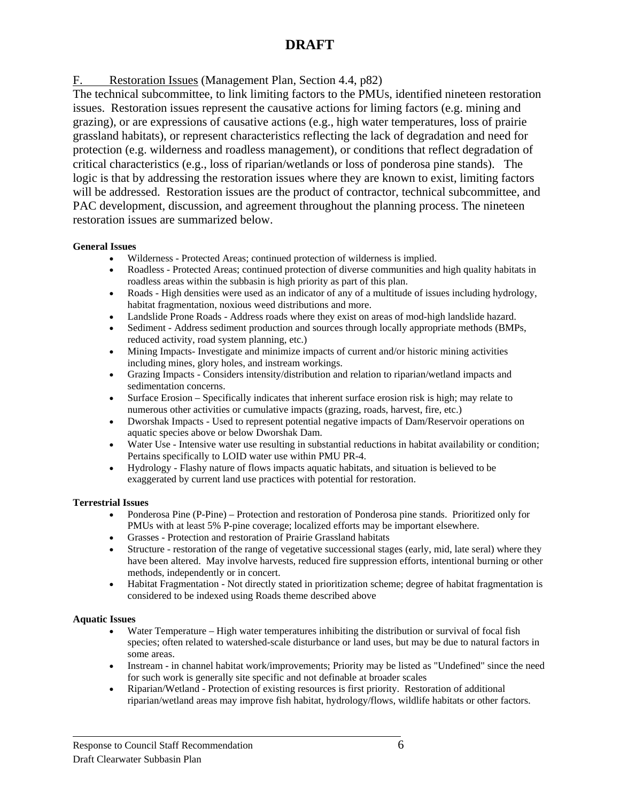F. Restoration Issues (Management Plan, Section 4.4, p82)

The technical subcommittee, to link limiting factors to the PMUs, identified nineteen restoration issues. Restoration issues represent the causative actions for liming factors (e.g. mining and grazing), or are expressions of causative actions (e.g., high water temperatures, loss of prairie grassland habitats), or represent characteristics reflecting the lack of degradation and need for protection (e.g. wilderness and roadless management), or conditions that reflect degradation of critical characteristics (e.g., loss of riparian/wetlands or loss of ponderosa pine stands). The logic is that by addressing the restoration issues where they are known to exist, limiting factors will be addressed. Restoration issues are the product of contractor, technical subcommittee, and PAC development, discussion, and agreement throughout the planning process. The nineteen restoration issues are summarized below.

#### **General Issues**

- Wilderness Protected Areas; continued protection of wilderness is implied.
- Roadless Protected Areas; continued protection of diverse communities and high quality habitats in roadless areas within the subbasin is high priority as part of this plan.
- Roads High densities were used as an indicator of any of a multitude of issues including hydrology, habitat fragmentation, noxious weed distributions and more.
- Landslide Prone Roads Address roads where they exist on areas of mod-high landslide hazard.
- Sediment Address sediment production and sources through locally appropriate methods (BMPs, reduced activity, road system planning, etc.)
- Mining Impacts- Investigate and minimize impacts of current and/or historic mining activities including mines, glory holes, and instream workings.
- Grazing Impacts Considers intensity/distribution and relation to riparian/wetland impacts and sedimentation concerns.
- Surface Erosion Specifically indicates that inherent surface erosion risk is high; may relate to numerous other activities or cumulative impacts (grazing, roads, harvest, fire, etc.)
- Dworshak Impacts Used to represent potential negative impacts of Dam/Reservoir operations on aquatic species above or below Dworshak Dam.
- Water Use Intensive water use resulting in substantial reductions in habitat availability or condition; Pertains specifically to LOID water use within PMU PR-4.
- Hydrology Flashy nature of flows impacts aquatic habitats, and situation is believed to be exaggerated by current land use practices with potential for restoration.

#### **Terrestrial Issues**

- Ponderosa Pine (P-Pine) Protection and restoration of Ponderosa pine stands. Prioritized only for PMUs with at least 5% P-pine coverage; localized efforts may be important elsewhere.
- Grasses Protection and restoration of Prairie Grassland habitats
- Structure restoration of the range of vegetative successional stages (early, mid, late seral) where they have been altered. May involve harvests, reduced fire suppression efforts, intentional burning or other methods, independently or in concert.
- Habitat Fragmentation Not directly stated in prioritization scheme; degree of habitat fragmentation is considered to be indexed using Roads theme described above

#### **Aquatic Issues**

- Water Temperature High water temperatures inhibiting the distribution or survival of focal fish species; often related to watershed-scale disturbance or land uses, but may be due to natural factors in some areas.
- Instream in channel habitat work/improvements; Priority may be listed as "Undefined" since the need for such work is generally site specific and not definable at broader scales
- Riparian/Wetland Protection of existing resources is first priority. Restoration of additional riparian/wetland areas may improve fish habitat, hydrology/flows, wildlife habitats or other factors.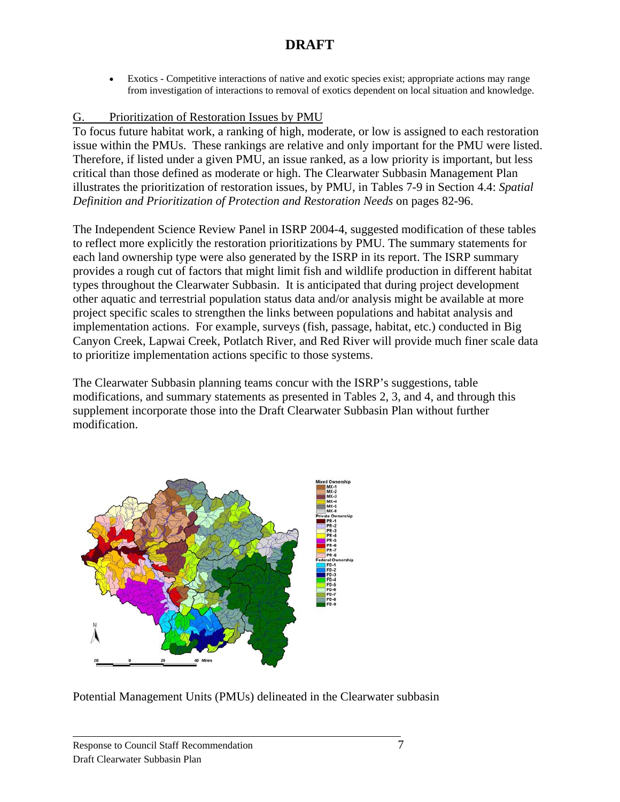• Exotics - Competitive interactions of native and exotic species exist; appropriate actions may range from investigation of interactions to removal of exotics dependent on local situation and knowledge.

### G. Prioritization of Restoration Issues by PMU

To focus future habitat work, a ranking of high, moderate, or low is assigned to each restoration issue within the PMUs. These rankings are relative and only important for the PMU were listed. Therefore, if listed under a given PMU, an issue ranked, as a low priority is important, but less critical than those defined as moderate or high. The Clearwater Subbasin Management Plan illustrates the prioritization of restoration issues, by PMU, in Tables 7-9 in Section 4.4: *Spatial Definition and Prioritization of Protection and Restoration Needs* on pages 82-96.

The Independent Science Review Panel in ISRP 2004-4, suggested modification of these tables to reflect more explicitly the restoration prioritizations by PMU. The summary statements for each land ownership type were also generated by the ISRP in its report. The ISRP summary provides a rough cut of factors that might limit fish and wildlife production in different habitat types throughout the Clearwater Subbasin. It is anticipated that during project development other aquatic and terrestrial population status data and/or analysis might be available at more project specific scales to strengthen the links between populations and habitat analysis and implementation actions. For example, surveys (fish, passage, habitat, etc.) conducted in Big Canyon Creek, Lapwai Creek, Potlatch River, and Red River will provide much finer scale data to prioritize implementation actions specific to those systems.

The Clearwater Subbasin planning teams concur with the ISRP's suggestions, table modifications, and summary statements as presented in Tables 2, 3, and 4, and through this supplement incorporate those into the Draft Clearwater Subbasin Plan without further modification.



Potential Management Units (PMUs) delineated in the Clearwater subbasin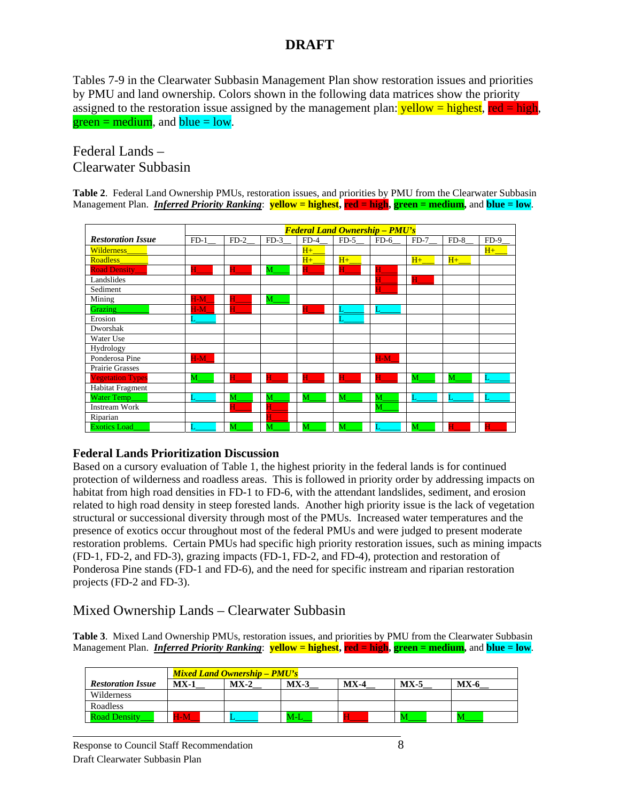Tables 7-9 in the Clearwater Subbasin Management Plan show restoration issues and priorities by PMU and land ownership. Colors shown in the following data matrices show the priority assigned to the restoration issue assigned by the management plan:  $\text{yellow} = \text{highest}$ ,  $\text{red} = \text{high}$ ,  $green = medium$ , and  $blue = low$ .

## Federal Lands – Clearwater Subbasin

**Table 2**. Federal Land Ownership PMUs, restoration issues, and priorities by PMU from the Clearwater Subbasin Management Plan. *Inferred Priority Ranking*: **yellow = highest, red = high, green = medium,** and **blue = low**.

|                          | <b>Federal Land Ownership - PMU's</b> |        |                |             |         |                |        |         |        |
|--------------------------|---------------------------------------|--------|----------------|-------------|---------|----------------|--------|---------|--------|
| <b>Restoration Issue</b> | $FD-1$                                | $FD-2$ | $FD-3$         | $FD-4$      | $FD-5$  | $FD-6$         | $FD-7$ | $FD-8$  | $FD-9$ |
| <b>Wilderness</b>        |                                       |        |                | $H+$        |         |                |        |         | $H+$   |
| <b>Roadless</b>          |                                       |        |                | $H_{+}$     | $H_{+}$ |                | $H+$   | $H_{+}$ |        |
| <b>Road Density</b>      | H                                     | H      | M              | $\mathbf H$ | н       | H              |        |         |        |
| Landslides               |                                       |        |                |             |         |                | Н      |         |        |
| Sediment                 |                                       |        |                |             |         | H              |        |         |        |
| Mining                   | $H-M$                                 |        | M              |             |         |                |        |         |        |
| Grazing                  | $H-M$                                 | H      |                | H           |         |                |        |         |        |
| Erosion                  |                                       |        |                |             |         |                |        |         |        |
| Dworshak                 |                                       |        |                |             |         |                |        |         |        |
| Water Use                |                                       |        |                |             |         |                |        |         |        |
| Hydrology                |                                       |        |                |             |         |                |        |         |        |
| Ponderosa Pine           | $H-M$                                 |        |                |             |         | $H-M$          |        |         |        |
| Prairie Grasses          |                                       |        |                |             |         |                |        |         |        |
| <b>Vegetation Types</b>  | M                                     | Н      | $\mathbf{H}^-$ | H           | H       | $\mathbf{H}^-$ | M      | M       |        |
| <b>Habitat Fragment</b>  |                                       |        |                |             |         |                |        |         |        |
| Water Temp               |                                       | M      | M              | M           | M       | M              | T.     | Ī.      |        |
| <b>Instream Work</b>     |                                       | Η      | Н              |             |         | M              |        |         |        |
| Riparian                 |                                       |        | H              |             |         |                |        |         |        |
| <b>Exotics Load</b>      |                                       | M      | M              | M           | M       |                | M      |         |        |

### **Federal Lands Prioritization Discussion**

Based on a cursory evaluation of Table 1, the highest priority in the federal lands is for continued protection of wilderness and roadless areas. This is followed in priority order by addressing impacts on habitat from high road densities in FD-1 to FD-6, with the attendant landslides, sediment, and erosion related to high road density in steep forested lands. Another high priority issue is the lack of vegetation structural or successional diversity through most of the PMUs. Increased water temperatures and the presence of exotics occur throughout most of the federal PMUs and were judged to present moderate restoration problems. Certain PMUs had specific high priority restoration issues, such as mining impacts (FD-1, FD-2, and FD-3), grazing impacts (FD-1, FD-2, and FD-4), protection and restoration of Ponderosa Pine stands (FD-1 and FD-6), and the need for specific instream and riparian restoration projects (FD-2 and FD-3).

### Mixed Ownership Lands – Clearwater Subbasin

**Table 3**. Mixed Land Ownership PMUs, restoration issues, and priorities by PMU from the Clearwater Subbasin Management Plan. *Inferred Priority Ranking*: **yellow = highest, red = high, green = medium,** and **blue = low**.

|                          | <b>Mixed Land Ownership – PMU's</b> |        |        |        |          |        |  |  |  |
|--------------------------|-------------------------------------|--------|--------|--------|----------|--------|--|--|--|
| <b>Restoration Issue</b> | $MX-1$                              | $MX-2$ | $MX-3$ | $MX-4$ | $MX - 5$ | $MX-6$ |  |  |  |
| Wilderness               |                                     |        |        |        |          |        |  |  |  |
| Roadless                 |                                     |        |        |        |          |        |  |  |  |
| <b>Road Density</b>      | $H-M$                               |        | M-L    |        |          |        |  |  |  |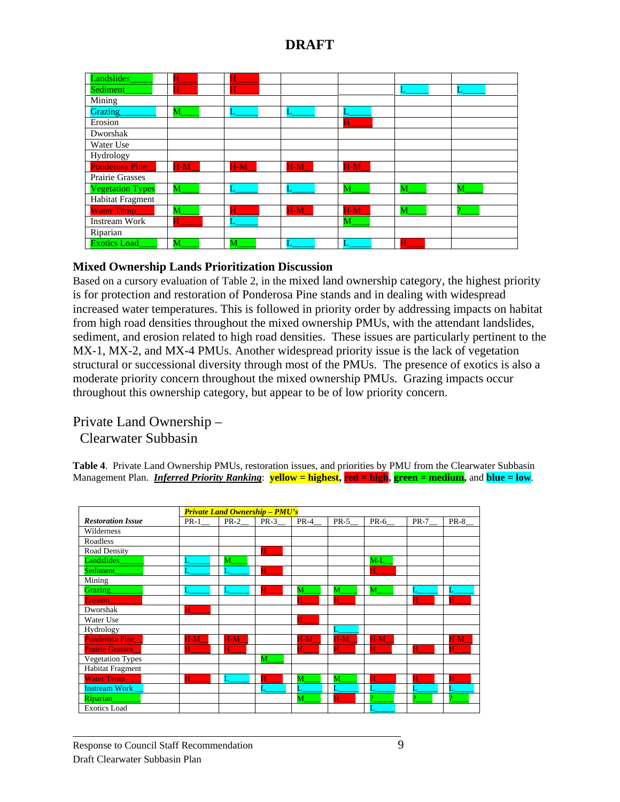| Landslides              | H     |       |               |       |   |   |
|-------------------------|-------|-------|---------------|-------|---|---|
| Sediment                | Н     | Н     |               |       |   |   |
| Mining                  |       |       |               |       |   |   |
| Grazing                 | М     |       |               |       |   |   |
| Erosion                 |       |       |               |       |   |   |
| Dworshak                |       |       |               |       |   |   |
| Water Use               |       |       |               |       |   |   |
| Hydrology               |       |       |               |       |   |   |
| <b>Ponderosa Pine</b>   | $H-M$ | $H-M$ | $H-M$         | $H-M$ |   |   |
| Prairie Grasses         |       |       |               |       |   |   |
| <b>Vegetation Types</b> | M     |       |               | M     | M | M |
| Habitat Fragment        |       |       |               |       |   |   |
| Water Temp____          | M     |       | $H-M_{\perp}$ | $H-M$ | M |   |
| Instream Work           | Н     |       |               | М     |   |   |
| Riparian                |       |       |               |       |   |   |
| <b>Exotics Load</b>     | M     | M     |               |       | Н |   |

#### **Mixed Ownership Lands Prioritization Discussion**

Based on a cursory evaluation of Table 2, in the mixed land ownership category, the highest priority is for protection and restoration of Ponderosa Pine stands and in dealing with widespread increased water temperatures. This is followed in priority order by addressing impacts on habitat from high road densities throughout the mixed ownership PMUs, with the attendant landslides, sediment, and erosion related to high road densities. These issues are particularly pertinent to the MX-1, MX-2, and MX-4 PMUs. Another widespread priority issue is the lack of vegetation structural or successional diversity through most of the PMUs. The presence of exotics is also a moderate priority concern throughout the mixed ownership PMUs. Grazing impacts occur throughout this ownership category, but appear to be of low priority concern.

### Private Land Ownership – Clearwater Subbasin

**Table 4**. Private Land Ownership PMUs, restoration issues, and priorities by PMU from the Clearwater Subbasin Management Plan. *Inferred Priority Ranking*: **yellow = highest, red = high, green = medium,** and **blue = low**.

|                          | <b>Private Land Ownership - PMU's</b> |                      |        |                |        |             |              |       |
|--------------------------|---------------------------------------|----------------------|--------|----------------|--------|-------------|--------------|-------|
| <b>Restoration Issue</b> | $PR-1$                                | $PR-2$ <sub>__</sub> | $PR-3$ | $PR-4$         | $PR-5$ | PR-6        | $PR-7$       | PR-8  |
| Wilderness               |                                       |                      |        |                |        |             |              |       |
| Roadless                 |                                       |                      |        |                |        |             |              |       |
| Road Density             |                                       |                      | н      |                |        |             |              |       |
| Landslides               |                                       | M                    |        |                |        | $M-L$       |              |       |
| Sediment                 |                                       |                      |        |                |        | H           |              |       |
| Mining                   |                                       |                      |        |                |        |             |              |       |
| Grazing                  | L                                     |                      | Н      | M              | M      | M           |              |       |
| <b>Erosion</b>           |                                       |                      |        | Н              | H      |             | $\mathbf H$  | H     |
| Dworshak                 | н                                     |                      |        |                |        |             |              |       |
| Water Use                |                                       |                      |        | $\mathbf{H}^-$ |        |             |              |       |
| Hydrology                |                                       |                      |        |                |        |             |              |       |
| Ponderosa Pine           | $H-M$                                 | $H-M$                |        | $H-M$          | $H-M$  | $H-M$       |              | $H-M$ |
| Prairie Grasses_         | H                                     | H                    |        | Н              | Н      | $\mathbf H$ | $\mathbf{H}$ | Н     |
| Vegetation Types         |                                       |                      | M      |                |        |             |              |       |
| Habitat Fragment         |                                       |                      |        |                |        |             |              |       |
| Water Temp_              | н.                                    |                      | H      | M              | M      | H           | н            | Н     |
| <b>Instream Work</b>     |                                       |                      |        |                |        |             |              |       |
| <b>Riparian</b>          |                                       |                      |        | M              | Н      |             |              |       |
| <b>Exotics Load</b>      |                                       |                      |        |                |        |             |              |       |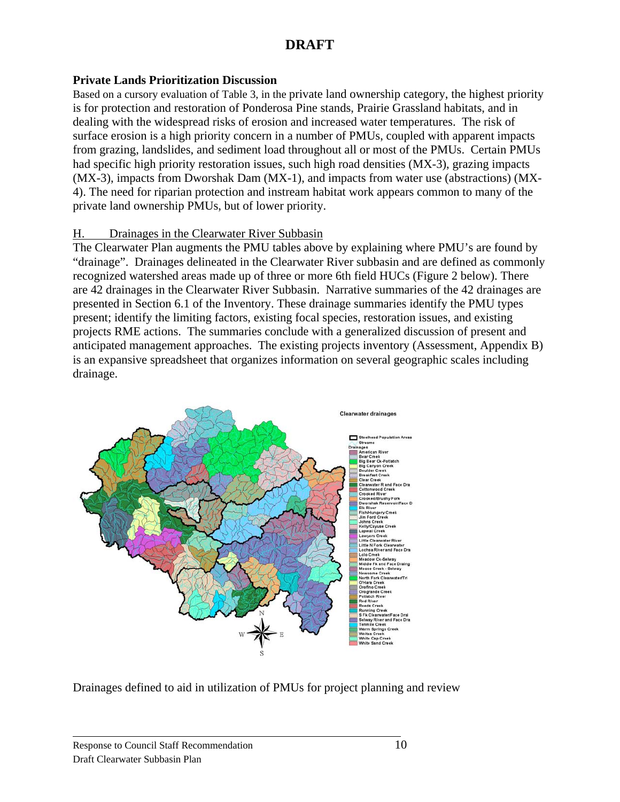#### **Private Lands Prioritization Discussion**

Based on a cursory evaluation of Table 3, in the private land ownership category, the highest priority is for protection and restoration of Ponderosa Pine stands, Prairie Grassland habitats, and in dealing with the widespread risks of erosion and increased water temperatures. The risk of surface erosion is a high priority concern in a number of PMUs, coupled with apparent impacts from grazing, landslides, and sediment load throughout all or most of the PMUs. Certain PMUs had specific high priority restoration issues, such high road densities (MX-3), grazing impacts (MX-3), impacts from Dworshak Dam (MX-1), and impacts from water use (abstractions) (MX-4). The need for riparian protection and instream habitat work appears common to many of the private land ownership PMUs, but of lower priority.

#### H. Drainages in the Clearwater River Subbasin

The Clearwater Plan augments the PMU tables above by explaining where PMU's are found by "drainage". Drainages delineated in the Clearwater River subbasin and are defined as commonly recognized watershed areas made up of three or more 6th field HUCs (Figure 2 below). There are 42 drainages in the Clearwater River Subbasin. Narrative summaries of the 42 drainages are presented in Section 6.1 of the Inventory. These drainage summaries identify the PMU types present; identify the limiting factors, existing focal species, restoration issues, and existing projects RME actions. The summaries conclude with a generalized discussion of present and anticipated management approaches. The existing projects inventory (Assessment, Appendix B) is an expansive spreadsheet that organizes information on several geographic scales including drainage.



Drainages defined to aid in utilization of PMUs for project planning and review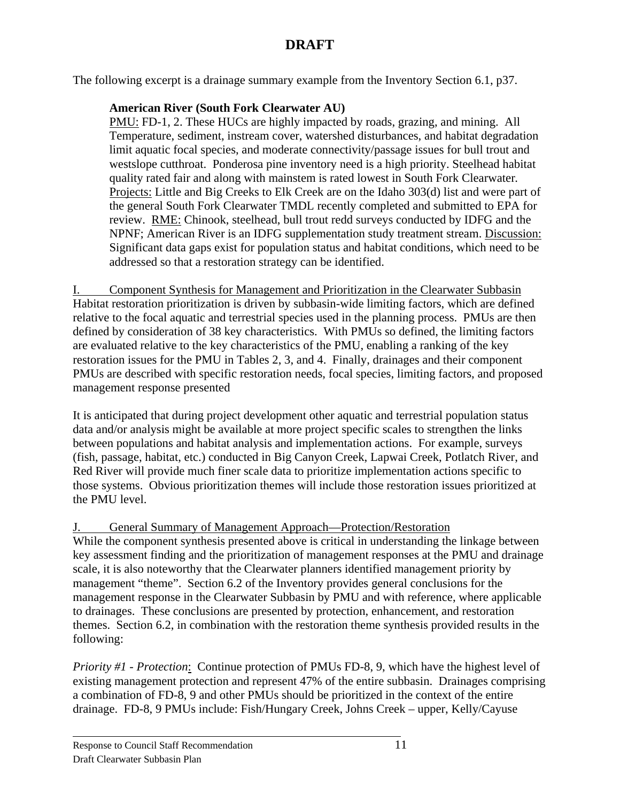The following excerpt is a drainage summary example from the Inventory Section 6.1, p37.

### **American River (South Fork Clearwater AU)**

PMU: FD-1, 2. These HUCs are highly impacted by roads, grazing, and mining. All Temperature, sediment, instream cover, watershed disturbances, and habitat degradation limit aquatic focal species, and moderate connectivity/passage issues for bull trout and westslope cutthroat. Ponderosa pine inventory need is a high priority. Steelhead habitat quality rated fair and along with mainstem is rated lowest in South Fork Clearwater*.* Projects: Little and Big Creeks to Elk Creek are on the Idaho 303(d) list and were part of the general South Fork Clearwater TMDL recently completed and submitted to EPA for review. RME: Chinook, steelhead, bull trout redd surveys conducted by IDFG and the NPNF; American River is an IDFG supplementation study treatment stream. Discussion: Significant data gaps exist for population status and habitat conditions, which need to be addressed so that a restoration strategy can be identified.

I. Component Synthesis for Management and Prioritization in the Clearwater Subbasin Habitat restoration prioritization is driven by subbasin-wide limiting factors, which are defined relative to the focal aquatic and terrestrial species used in the planning process. PMUs are then defined by consideration of 38 key characteristics. With PMUs so defined, the limiting factors are evaluated relative to the key characteristics of the PMU, enabling a ranking of the key restoration issues for the PMU in Tables 2, 3, and 4. Finally, drainages and their component PMUs are described with specific restoration needs, focal species, limiting factors, and proposed management response presented

It is anticipated that during project development other aquatic and terrestrial population status data and/or analysis might be available at more project specific scales to strengthen the links between populations and habitat analysis and implementation actions. For example, surveys (fish, passage, habitat, etc.) conducted in Big Canyon Creek, Lapwai Creek, Potlatch River, and Red River will provide much finer scale data to prioritize implementation actions specific to those systems. Obvious prioritization themes will include those restoration issues prioritized at the PMU level.

### J. General Summary of Management Approach—Protection/Restoration

While the component synthesis presented above is critical in understanding the linkage between key assessment finding and the prioritization of management responses at the PMU and drainage scale, it is also noteworthy that the Clearwater planners identified management priority by management "theme". Section 6.2 of the Inventory provides general conclusions for the management response in the Clearwater Subbasin by PMU and with reference, where applicable to drainages. These conclusions are presented by protection, enhancement, and restoration themes. Section 6.2, in combination with the restoration theme synthesis provided results in the following:

*Priority #1 - Protection*: Continue protection of PMUs FD-8, 9, which have the highest level of existing management protection and represent 47% of the entire subbasin. Drainages comprising a combination of FD-8, 9 and other PMUs should be prioritized in the context of the entire drainage. FD-8, 9 PMUs include: Fish/Hungary Creek, Johns Creek – upper, Kelly/Cayuse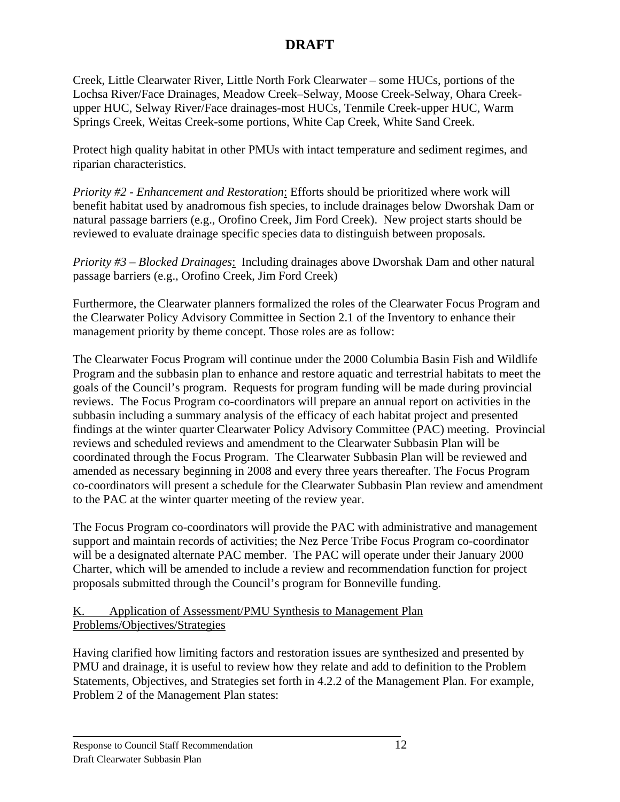Creek, Little Clearwater River, Little North Fork Clearwater – some HUCs, portions of the Lochsa River/Face Drainages, Meadow Creek–Selway, Moose Creek-Selway, Ohara Creekupper HUC, Selway River/Face drainages-most HUCs, Tenmile Creek-upper HUC, Warm Springs Creek, Weitas Creek-some portions, White Cap Creek, White Sand Creek.

Protect high quality habitat in other PMUs with intact temperature and sediment regimes, and riparian characteristics.

*Priority #2 - Enhancement and Restoration*: Efforts should be prioritized where work will benefit habitat used by anadromous fish species, to include drainages below Dworshak Dam or natural passage barriers (e.g., Orofino Creek, Jim Ford Creek). New project starts should be reviewed to evaluate drainage specific species data to distinguish between proposals.

*Priority #3 – Blocked Drainages*: Including drainages above Dworshak Dam and other natural passage barriers (e.g., Orofino Creek, Jim Ford Creek)

Furthermore, the Clearwater planners formalized the roles of the Clearwater Focus Program and the Clearwater Policy Advisory Committee in Section 2.1 of the Inventory to enhance their management priority by theme concept. Those roles are as follow:

The Clearwater Focus Program will continue under the 2000 Columbia Basin Fish and Wildlife Program and the subbasin plan to enhance and restore aquatic and terrestrial habitats to meet the goals of the Council's program. Requests for program funding will be made during provincial reviews. The Focus Program co-coordinators will prepare an annual report on activities in the subbasin including a summary analysis of the efficacy of each habitat project and presented findings at the winter quarter Clearwater Policy Advisory Committee (PAC) meeting. Provincial reviews and scheduled reviews and amendment to the Clearwater Subbasin Plan will be coordinated through the Focus Program. The Clearwater Subbasin Plan will be reviewed and amended as necessary beginning in 2008 and every three years thereafter. The Focus Program co-coordinators will present a schedule for the Clearwater Subbasin Plan review and amendment to the PAC at the winter quarter meeting of the review year.

The Focus Program co-coordinators will provide the PAC with administrative and management support and maintain records of activities; the Nez Perce Tribe Focus Program co-coordinator will be a designated alternate PAC member. The PAC will operate under their January 2000 Charter, which will be amended to include a review and recommendation function for project proposals submitted through the Council's program for Bonneville funding.

#### K. Application of Assessment/PMU Synthesis to Management Plan Problems/Objectives/Strategies

Having clarified how limiting factors and restoration issues are synthesized and presented by PMU and drainage, it is useful to review how they relate and add to definition to the Problem Statements, Objectives, and Strategies set forth in 4.2.2 of the Management Plan. For example, Problem 2 of the Management Plan states: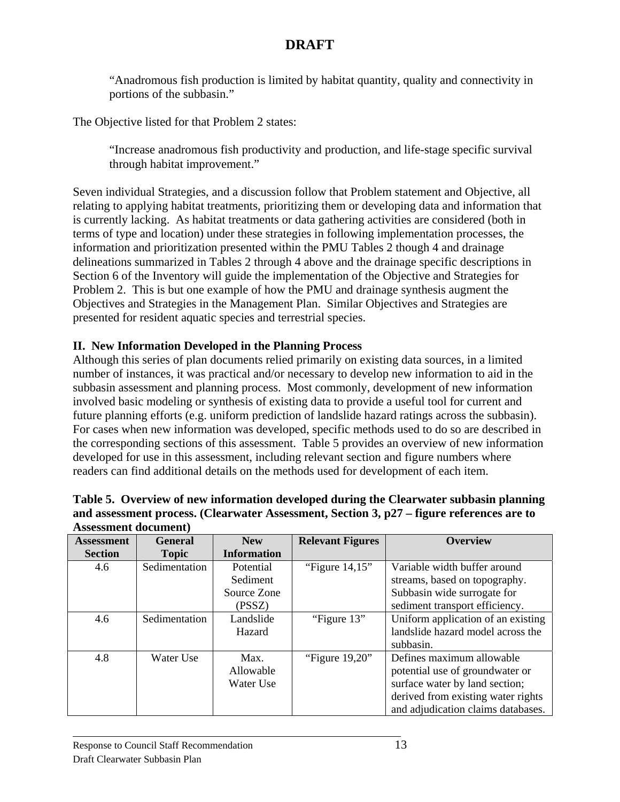"Anadromous fish production is limited by habitat quantity, quality and connectivity in portions of the subbasin."

The Objective listed for that Problem 2 states:

"Increase anadromous fish productivity and production, and life-stage specific survival through habitat improvement."

Seven individual Strategies, and a discussion follow that Problem statement and Objective, all relating to applying habitat treatments, prioritizing them or developing data and information that is currently lacking. As habitat treatments or data gathering activities are considered (both in terms of type and location) under these strategies in following implementation processes, the information and prioritization presented within the PMU Tables 2 though 4 and drainage delineations summarized in Tables 2 through 4 above and the drainage specific descriptions in Section 6 of the Inventory will guide the implementation of the Objective and Strategies for Problem 2. This is but one example of how the PMU and drainage synthesis augment the Objectives and Strategies in the Management Plan. Similar Objectives and Strategies are presented for resident aquatic species and terrestrial species.

### **II. New Information Developed in the Planning Process**

Although this series of plan documents relied primarily on existing data sources, in a limited number of instances, it was practical and/or necessary to develop new information to aid in the subbasin assessment and planning process. Most commonly, development of new information involved basic modeling or synthesis of existing data to provide a useful tool for current and future planning efforts (e.g. uniform prediction of landslide hazard ratings across the subbasin). For cases when new information was developed, specific methods used to do so are described in the corresponding sections of this assessment. Table 5 provides an overview of new information developed for use in this assessment, including relevant section and figure numbers where readers can find additional details on the methods used for development of each item.

| Assessment document) |                |                    |                         |                                    |
|----------------------|----------------|--------------------|-------------------------|------------------------------------|
| <b>Assessment</b>    | <b>General</b> | <b>New</b>         | <b>Relevant Figures</b> | <b>Overview</b>                    |
| <b>Section</b>       | <b>Topic</b>   | <b>Information</b> |                         |                                    |
| 4.6                  | Sedimentation  | Potential          | "Figure $14.15$ "       | Variable width buffer around       |
|                      |                | Sediment           |                         | streams, based on topography.      |
|                      |                | Source Zone        |                         | Subbasin wide surrogate for        |
|                      |                | (PSSZ)             |                         | sediment transport efficiency.     |
| 4.6                  | Sedimentation  | Landslide          | "Figure 13"             | Uniform application of an existing |
|                      |                | Hazard             |                         | landslide hazard model across the  |
|                      |                |                    |                         | subbasin.                          |
| 4.8                  | Water Use      | Max.               | "Figure $19,20$ "       | Defines maximum allowable          |
|                      |                | Allowable          |                         | potential use of groundwater or    |
|                      |                | Water Use          |                         | surface water by land section;     |
|                      |                |                    |                         | derived from existing water rights |
|                      |                |                    |                         | and adjudication claims databases. |

| Table 5. Overview of new information developed during the Clearwater subbasin planning    |
|-------------------------------------------------------------------------------------------|
| and assessment process. (Clearwater Assessment, Section 3, p27 – figure references are to |
| <b>Assessment document</b> )                                                              |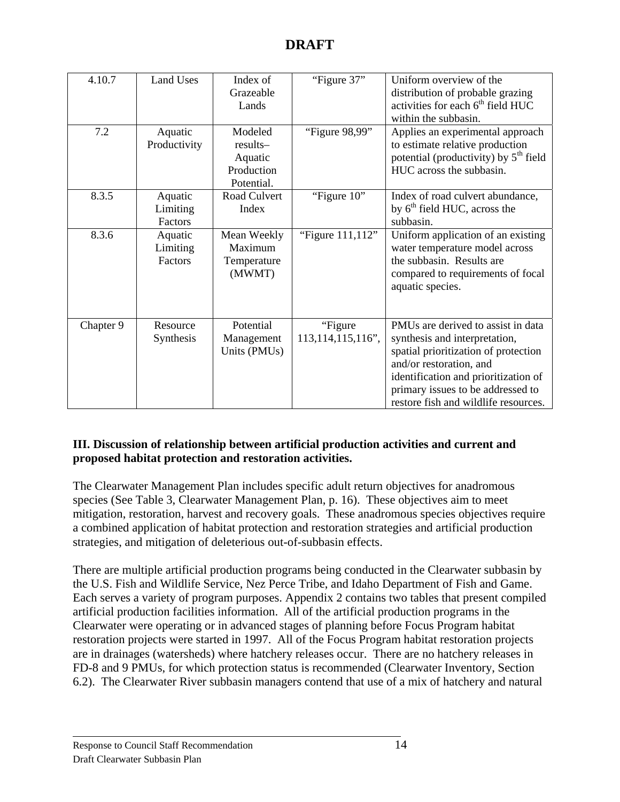| 4.10.7    | Land Uses    | Index of     | "Figure 37"          | Uniform overview of the                  |
|-----------|--------------|--------------|----------------------|------------------------------------------|
|           |              | Grazeable    |                      | distribution of probable grazing         |
|           |              | Lands        |                      | activities for each $6th$ field HUC      |
|           |              |              |                      | within the subbasin.                     |
| 7.2       | Aquatic      | Modeled      | "Figure 98,99"       | Applies an experimental approach         |
|           | Productivity | results-     |                      | to estimate relative production          |
|           |              | Aquatic      |                      | potential (productivity) by $5th$ field  |
|           |              | Production   |                      | HUC across the subbasin.                 |
|           |              | Potential.   |                      |                                          |
| 8.3.5     | Aquatic      | Road Culvert | "Figure 10"          | Index of road culvert abundance,         |
|           | Limiting     | Index        |                      | by 6 <sup>th</sup> field HUC, across the |
|           | Factors      |              |                      | subbasin.                                |
| 8.3.6     | Aquatic      | Mean Weekly  | "Figure 111,112"     | Uniform application of an existing       |
|           | Limiting     | Maximum      |                      | water temperature model across           |
|           | Factors      | Temperature  |                      | the subbasin. Results are                |
|           |              | (MWMT)       |                      | compared to requirements of focal        |
|           |              |              |                      | aquatic species.                         |
|           |              |              |                      |                                          |
|           |              |              |                      |                                          |
| Chapter 9 | Resource     | Potential    | "Figure"             | PMUs are derived to assist in data       |
|           | Synthesis    | Management   | 113, 114, 115, 116", | synthesis and interpretation,            |
|           |              | Units (PMUs) |                      | spatial prioritization of protection     |
|           |              |              |                      | and/or restoration, and                  |
|           |              |              |                      | identification and prioritization of     |
|           |              |              |                      | primary issues to be addressed to        |
|           |              |              |                      | restore fish and wildlife resources.     |

### **III. Discussion of relationship between artificial production activities and current and proposed habitat protection and restoration activities.**

The Clearwater Management Plan includes specific adult return objectives for anadromous species (See Table 3, Clearwater Management Plan, p. 16). These objectives aim to meet mitigation, restoration, harvest and recovery goals. These anadromous species objectives require a combined application of habitat protection and restoration strategies and artificial production strategies, and mitigation of deleterious out-of-subbasin effects.

There are multiple artificial production programs being conducted in the Clearwater subbasin by the U.S. Fish and Wildlife Service, Nez Perce Tribe, and Idaho Department of Fish and Game. Each serves a variety of program purposes. Appendix 2 contains two tables that present compiled artificial production facilities information. All of the artificial production programs in the Clearwater were operating or in advanced stages of planning before Focus Program habitat restoration projects were started in 1997. All of the Focus Program habitat restoration projects are in drainages (watersheds) where hatchery releases occur. There are no hatchery releases in FD-8 and 9 PMUs, for which protection status is recommended (Clearwater Inventory, Section 6.2). The Clearwater River subbasin managers contend that use of a mix of hatchery and natural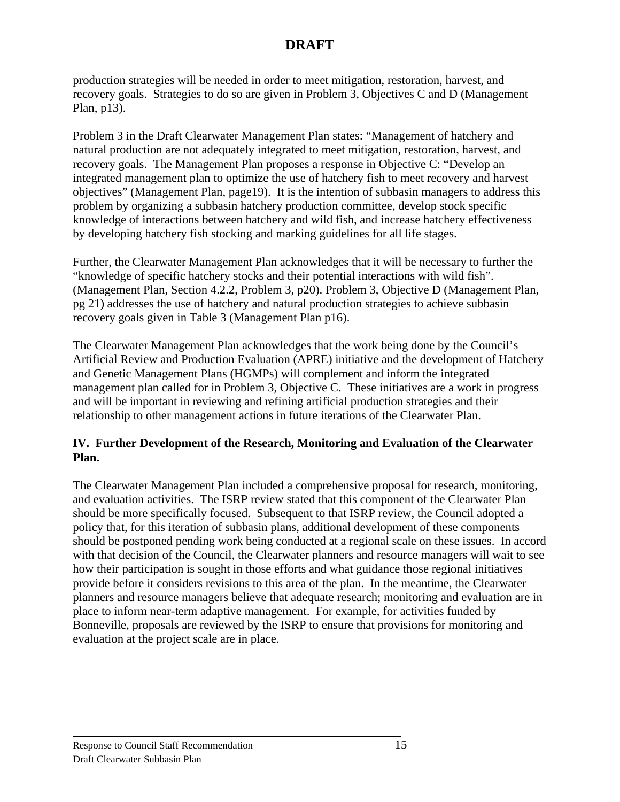production strategies will be needed in order to meet mitigation, restoration, harvest, and recovery goals. Strategies to do so are given in Problem 3, Objectives C and D (Management Plan, p13).

Problem 3 in the Draft Clearwater Management Plan states: "Management of hatchery and natural production are not adequately integrated to meet mitigation, restoration, harvest, and recovery goals. The Management Plan proposes a response in Objective C: "Develop an integrated management plan to optimize the use of hatchery fish to meet recovery and harvest objectives" (Management Plan, page19). It is the intention of subbasin managers to address this problem by organizing a subbasin hatchery production committee, develop stock specific knowledge of interactions between hatchery and wild fish, and increase hatchery effectiveness by developing hatchery fish stocking and marking guidelines for all life stages.

Further, the Clearwater Management Plan acknowledges that it will be necessary to further the "knowledge of specific hatchery stocks and their potential interactions with wild fish". (Management Plan, Section 4.2.2, Problem 3, p20). Problem 3, Objective D (Management Plan, pg 21) addresses the use of hatchery and natural production strategies to achieve subbasin recovery goals given in Table 3 (Management Plan p16).

The Clearwater Management Plan acknowledges that the work being done by the Council's Artificial Review and Production Evaluation (APRE) initiative and the development of Hatchery and Genetic Management Plans (HGMPs) will complement and inform the integrated management plan called for in Problem 3, Objective C. These initiatives are a work in progress and will be important in reviewing and refining artificial production strategies and their relationship to other management actions in future iterations of the Clearwater Plan.

### **IV. Further Development of the Research, Monitoring and Evaluation of the Clearwater Plan.**

The Clearwater Management Plan included a comprehensive proposal for research, monitoring, and evaluation activities. The ISRP review stated that this component of the Clearwater Plan should be more specifically focused. Subsequent to that ISRP review, the Council adopted a policy that, for this iteration of subbasin plans, additional development of these components should be postponed pending work being conducted at a regional scale on these issues. In accord with that decision of the Council, the Clearwater planners and resource managers will wait to see how their participation is sought in those efforts and what guidance those regional initiatives provide before it considers revisions to this area of the plan. In the meantime, the Clearwater planners and resource managers believe that adequate research; monitoring and evaluation are in place to inform near-term adaptive management. For example, for activities funded by Bonneville, proposals are reviewed by the ISRP to ensure that provisions for monitoring and evaluation at the project scale are in place.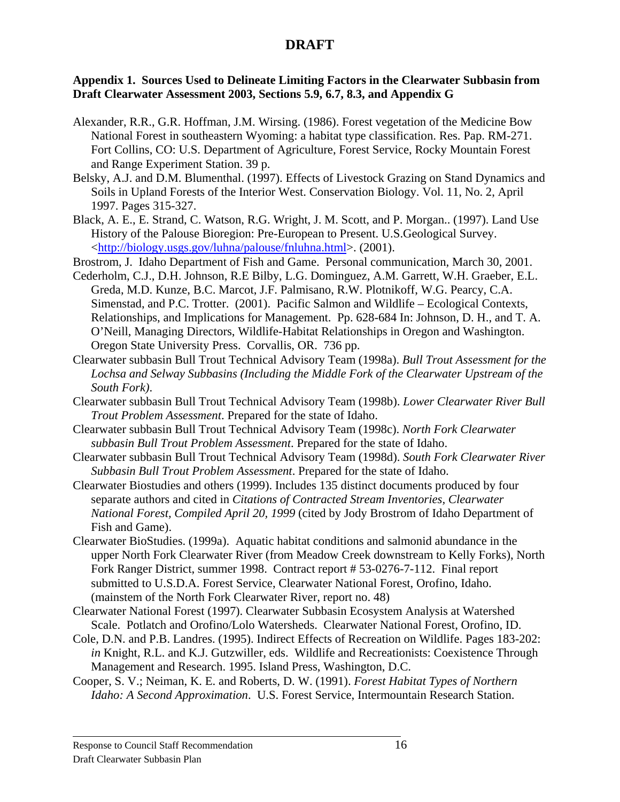#### **Appendix 1. Sources Used to Delineate Limiting Factors in the Clearwater Subbasin from Draft Clearwater Assessment 2003, Sections 5.9, 6.7, 8.3, and Appendix G**

- Alexander, R.R., G.R. Hoffman, J.M. Wirsing. (1986). Forest vegetation of the Medicine Bow National Forest in southeastern Wyoming: a habitat type classification. Res. Pap. RM-271. Fort Collins, CO: U.S. Department of Agriculture, Forest Service, Rocky Mountain Forest and Range Experiment Station. 39 p.
- Belsky, A.J. and D.M. Blumenthal. (1997). Effects of Livestock Grazing on Stand Dynamics and Soils in Upland Forests of the Interior West. Conservation Biology. Vol. 11, No. 2, April 1997. Pages 315-327.
- Black, A. E., E. Strand, C. Watson, R.G. Wright, J. M. Scott, and P. Morgan.. (1997). Land Use History of the Palouse Bioregion: Pre-European to Present. U.S.Geological Survey. <http://biology.usgs.gov/luhna/palouse/fnluhna.html>. (2001).
- Brostrom, J. Idaho Department of Fish and Game. Personal communication, March 30, 2001.
- Cederholm, C.J., D.H. Johnson, R.E Bilby, L.G. Dominguez, A.M. Garrett, W.H. Graeber, E.L. Greda, M.D. Kunze, B.C. Marcot, J.F. Palmisano, R.W. Plotnikoff, W.G. Pearcy, C.A. Simenstad, and P.C. Trotter. (2001). Pacific Salmon and Wildlife – Ecological Contexts, Relationships, and Implications for Management. Pp. 628-684 In: Johnson, D. H., and T. A. O'Neill, Managing Directors, Wildlife-Habitat Relationships in Oregon and Washington. Oregon State University Press. Corvallis, OR. 736 pp.
- Clearwater subbasin Bull Trout Technical Advisory Team (1998a). *Bull Trout Assessment for the Lochsa and Selway Subbasins (Including the Middle Fork of the Clearwater Upstream of the South Fork)*.
- Clearwater subbasin Bull Trout Technical Advisory Team (1998b). *Lower Clearwater River Bull Trout Problem Assessment*. Prepared for the state of Idaho.
- Clearwater subbasin Bull Trout Technical Advisory Team (1998c). *North Fork Clearwater subbasin Bull Trout Problem Assessment*. Prepared for the state of Idaho.
- Clearwater subbasin Bull Trout Technical Advisory Team (1998d). *South Fork Clearwater River Subbasin Bull Trout Problem Assessment*. Prepared for the state of Idaho.
- Clearwater Biostudies and others (1999). Includes 135 distinct documents produced by four separate authors and cited in *Citations of Contracted Stream Inventories, Clearwater National Forest, Compiled April 20, 1999* (cited by Jody Brostrom of Idaho Department of Fish and Game).
- Clearwater BioStudies. (1999a). Aquatic habitat conditions and salmonid abundance in the upper North Fork Clearwater River (from Meadow Creek downstream to Kelly Forks), North Fork Ranger District, summer 1998. Contract report # 53-0276-7-112. Final report submitted to U.S.D.A. Forest Service, Clearwater National Forest, Orofino, Idaho. (mainstem of the North Fork Clearwater River, report no. 48)
- Clearwater National Forest (1997). Clearwater Subbasin Ecosystem Analysis at Watershed Scale. Potlatch and Orofino/Lolo Watersheds. Clearwater National Forest, Orofino, ID.
- Cole, D.N. and P.B. Landres. (1995). Indirect Effects of Recreation on Wildlife. Pages 183-202: *in* Knight, R.L. and K.J. Gutzwiller, eds. Wildlife and Recreationists: Coexistence Through Management and Research. 1995. Island Press, Washington, D.C.
- Cooper, S. V.; Neiman, K. E. and Roberts, D. W. (1991). *Forest Habitat Types of Northern Idaho: A Second Approximation*. U.S. Forest Service, Intermountain Research Station.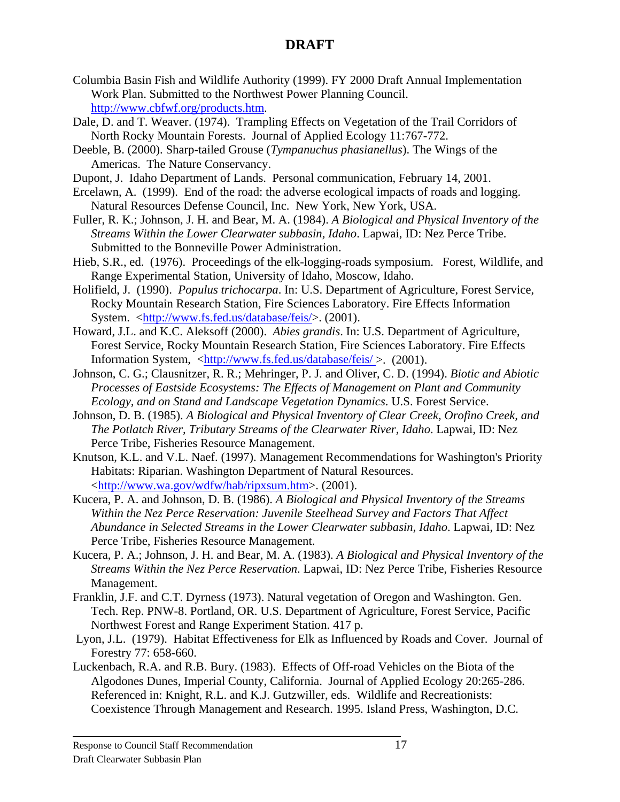- Columbia Basin Fish and Wildlife Authority (1999). FY 2000 Draft Annual Implementation Work Plan. Submitted to the Northwest Power Planning Council. http://www.cbfwf.org/products.htm.
- Dale, D. and T. Weaver. (1974). Trampling Effects on Vegetation of the Trail Corridors of North Rocky Mountain Forests. Journal of Applied Ecology 11:767-772.
- Deeble, B. (2000). Sharp-tailed Grouse (*Tympanuchus phasianellus*). The Wings of the Americas. The Nature Conservancy.
- Dupont, J. Idaho Department of Lands. Personal communication, February 14, 2001.
- Ercelawn, A. (1999). End of the road: the adverse ecological impacts of roads and logging. Natural Resources Defense Council, Inc. New York, New York, USA.
- Fuller, R. K.; Johnson, J. H. and Bear, M. A. (1984). *A Biological and Physical Inventory of the Streams Within the Lower Clearwater subbasin, Idaho*. Lapwai, ID: Nez Perce Tribe. Submitted to the Bonneville Power Administration.
- Hieb, S.R., ed. (1976). Proceedings of the elk-logging-roads symposium. Forest, Wildlife, and Range Experimental Station, University of Idaho, Moscow, Idaho.
- Holifield, J. (1990). *Populus trichocarpa*. In: U.S. Department of Agriculture, Forest Service, Rocky Mountain Research Station, Fire Sciences Laboratory. Fire Effects Information System. <http://www.fs.fed.us/database/feis/>. (2001).
- Howard, J.L. and K.C. Aleksoff (2000). *Abies grandis*. In: U.S. Department of Agriculture, Forest Service, Rocky Mountain Research Station, Fire Sciences Laboratory. Fire Effects Information System, <http://www.fs.fed.us/database/feis/ >. (2001).
- Johnson, C. G.; Clausnitzer, R. R.; Mehringer, P. J. and Oliver, C. D. (1994). *Biotic and Abiotic Processes of Eastside Ecosystems: The Effects of Management on Plant and Community Ecology, and on Stand and Landscape Vegetation Dynamics*. U.S. Forest Service.
- Johnson, D. B. (1985). *A Biological and Physical Inventory of Clear Creek, Orofino Creek, and The Potlatch River, Tributary Streams of the Clearwater River, Idaho*. Lapwai, ID: Nez Perce Tribe, Fisheries Resource Management.
- Knutson, K.L. and V.L. Naef. (1997). Management Recommendations for Washington's Priority Habitats: Riparian. Washington Department of Natural Resources. <http://www.wa.gov/wdfw/hab/ripxsum.htm>. (2001).
- Kucera, P. A. and Johnson, D. B. (1986). *A Biological and Physical Inventory of the Streams Within the Nez Perce Reservation: Juvenile Steelhead Survey and Factors That Affect Abundance in Selected Streams in the Lower Clearwater subbasin, Idaho*. Lapwai, ID: Nez Perce Tribe, Fisheries Resource Management.
- Kucera, P. A.; Johnson, J. H. and Bear, M. A. (1983). *A Biological and Physical Inventory of the Streams Within the Nez Perce Reservation*. Lapwai, ID: Nez Perce Tribe, Fisheries Resource Management.
- Franklin, J.F. and C.T. Dyrness (1973). Natural vegetation of Oregon and Washington. Gen. Tech. Rep. PNW-8. Portland, OR. U.S. Department of Agriculture, Forest Service, Pacific Northwest Forest and Range Experiment Station. 417 p.
- Lyon, J.L. (1979). Habitat Effectiveness for Elk as Influenced by Roads and Cover. Journal of Forestry 77: 658-660.
- Luckenbach, R.A. and R.B. Bury. (1983). Effects of Off-road Vehicles on the Biota of the Algodones Dunes, Imperial County, California. Journal of Applied Ecology 20:265-286. Referenced in: Knight, R.L. and K.J. Gutzwiller, eds. Wildlife and Recreationists: Coexistence Through Management and Research. 1995. Island Press, Washington, D.C.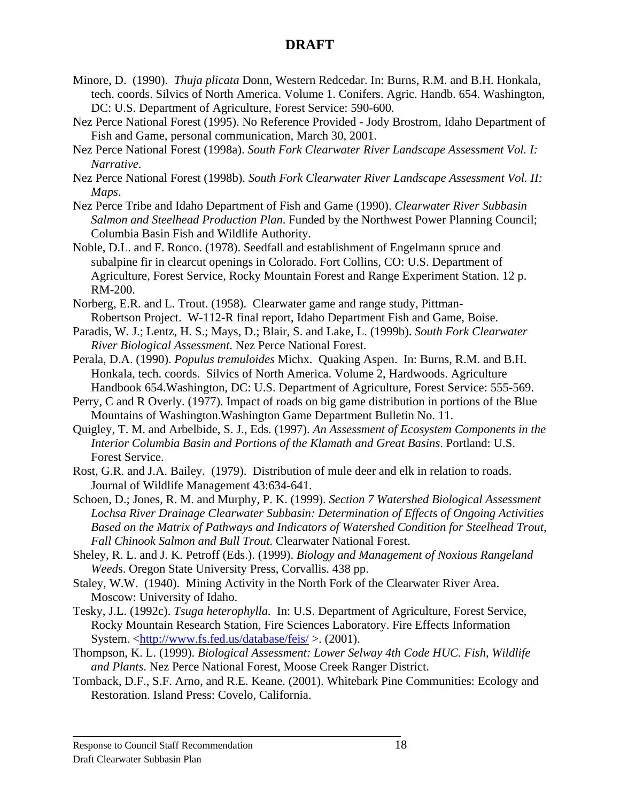- Minore, D. (1990). *Thuja plicata* Donn, Western Redcedar. In: Burns, R.M. and B.H. Honkala, tech. coords. Silvics of North America. Volume 1. Conifers. Agric. Handb. 654. Washington, DC: U.S. Department of Agriculture, Forest Service: 590-600.
- Nez Perce National Forest (1995). No Reference Provided Jody Brostrom, Idaho Department of Fish and Game, personal communication, March 30, 2001.
- Nez Perce National Forest (1998a). *South Fork Clearwater River Landscape Assessment Vol. I: Narrative*.
- Nez Perce National Forest (1998b). *South Fork Clearwater River Landscape Assessment Vol. II: Maps*.
- Nez Perce Tribe and Idaho Department of Fish and Game (1990). *Clearwater River Subbasin Salmon and Steelhead Production Plan*. Funded by the Northwest Power Planning Council; Columbia Basin Fish and Wildlife Authority.
- Noble, D.L. and F. Ronco. (1978). Seedfall and establishment of Engelmann spruce and subalpine fir in clearcut openings in Colorado. Fort Collins, CO: U.S. Department of Agriculture, Forest Service, Rocky Mountain Forest and Range Experiment Station. 12 p. RM-200.
- Norberg, E.R. and L. Trout. (1958). Clearwater game and range study, Pittman- Robertson Project. W-112-R final report, Idaho Department Fish and Game, Boise.
- Paradis, W. J.; Lentz, H. S.; Mays, D.; Blair, S. and Lake, L. (1999b). *South Fork Clearwater River Biological Assessment*. Nez Perce National Forest.
- Perala, D.A. (1990). *Populus tremuloides* Michx. Quaking Aspen. In: Burns, R.M. and B.H. Honkala, tech. coords. Silvics of North America. Volume 2, Hardwoods. Agriculture Handbook 654.Washington, DC: U.S. Department of Agriculture, Forest Service: 555-569.
- Perry, C and R Overly. (1977). Impact of roads on big game distribution in portions of the Blue Mountains of Washington.Washington Game Department Bulletin No. 11.
- Quigley, T. M. and Arbelbide, S. J., Eds. (1997). *An Assessment of Ecosystem Components in the Interior Columbia Basin and Portions of the Klamath and Great Basins*. Portland: U.S. Forest Service.
- Rost, G.R. and J.A. Bailey. (1979). Distribution of mule deer and elk in relation to roads. Journal of Wildlife Management 43:634-641.
- Schoen, D.; Jones, R. M. and Murphy, P. K. (1999). *Section 7 Watershed Biological Assessment Lochsa River Drainage Clearwater Subbasin: Determination of Effects of Ongoing Activities Based on the Matrix of Pathways and Indicators of Watershed Condition for Steelhead Trout, Fall Chinook Salmon and Bull Trout*. Clearwater National Forest.
- Sheley, R. L. and J. K. Petroff (Eds.). (1999). *Biology and Management of Noxious Rangeland Weed*s. Oregon State University Press, Corvallis. 438 pp.
- Staley, W.W. (1940). Mining Activity in the North Fork of the Clearwater River Area. Moscow: University of Idaho.
- Tesky, J.L. (1992c). *Tsuga heterophylla.*In: U.S. Department of Agriculture, Forest Service, Rocky Mountain Research Station, Fire Sciences Laboratory. Fire Effects Information System. <http://www.fs.fed.us/database/feis/ >. (2001).
- Thompson, K. L. (1999). *Biological Assessment: Lower Selway 4th Code HUC. Fish, Wildlife and Plants*. Nez Perce National Forest, Moose Creek Ranger District.
- Tomback, D.F., S.F. Arno, and R.E. Keane. (2001). Whitebark Pine Communities: Ecology and Restoration. Island Press: Covelo, California.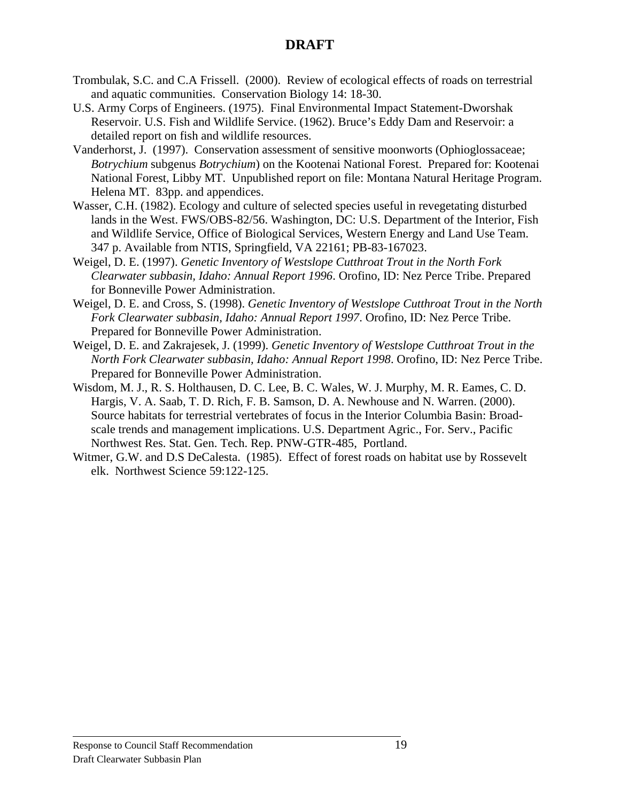- Trombulak, S.C. and C.A Frissell. (2000). Review of ecological effects of roads on terrestrial and aquatic communities. Conservation Biology 14: 18-30.
- U.S. Army Corps of Engineers. (1975). Final Environmental Impact Statement-Dworshak Reservoir. U.S. Fish and Wildlife Service. (1962). Bruce's Eddy Dam and Reservoir: a detailed report on fish and wildlife resources.
- Vanderhorst, J. (1997). Conservation assessment of sensitive moonworts (Ophioglossaceae; *Botrychium* subgenus *Botrychium*) on the Kootenai National Forest. Prepared for: Kootenai National Forest, Libby MT. Unpublished report on file: Montana Natural Heritage Program. Helena MT. 83pp. and appendices.
- Wasser, C.H. (1982). Ecology and culture of selected species useful in revegetating disturbed lands in the West. FWS/OBS-82/56. Washington, DC: U.S. Department of the Interior, Fish and Wildlife Service, Office of Biological Services, Western Energy and Land Use Team. 347 p. Available from NTIS, Springfield, VA 22161; PB-83-167023.
- Weigel, D. E. (1997). *Genetic Inventory of Westslope Cutthroat Trout in the North Fork Clearwater subbasin, Idaho: Annual Report 1996*. Orofino, ID: Nez Perce Tribe. Prepared for Bonneville Power Administration.
- Weigel, D. E. and Cross, S. (1998). *Genetic Inventory of Westslope Cutthroat Trout in the North Fork Clearwater subbasin, Idaho: Annual Report 1997*. Orofino, ID: Nez Perce Tribe. Prepared for Bonneville Power Administration.
- Weigel, D. E. and Zakrajesek, J. (1999). *Genetic Inventory of Westslope Cutthroat Trout in the North Fork Clearwater subbasin, Idaho: Annual Report 1998*. Orofino, ID: Nez Perce Tribe. Prepared for Bonneville Power Administration.
- Wisdom, M. J., R. S. Holthausen, D. C. Lee, B. C. Wales, W. J. Murphy, M. R. Eames, C. D. Hargis, V. A. Saab, T. D. Rich, F. B. Samson, D. A. Newhouse and N. Warren. (2000). Source habitats for terrestrial vertebrates of focus in the Interior Columbia Basin: Broadscale trends and management implications. U.S. Department Agric., For. Serv., Pacific Northwest Res. Stat. Gen. Tech. Rep. PNW-GTR-485, Portland.
- Witmer, G.W. and D.S DeCalesta. (1985). Effect of forest roads on habitat use by Rossevelt elk. Northwest Science 59:122-125.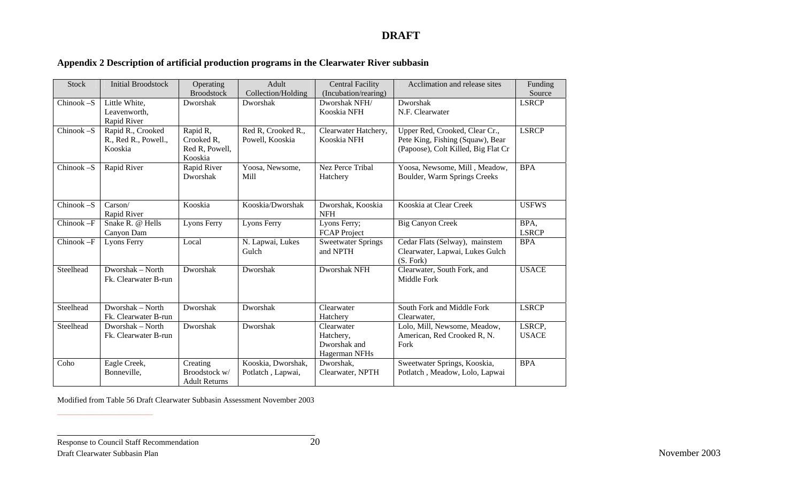# **Appendix 2 Description of artificial production programs in the Clearwater River subbasin**

| <b>Stock</b> | <b>Initial Broodstock</b>   | Operating<br><b>Broodstock</b> | Adult              | <b>Central Facility</b>      | Acclimation and release sites       | Funding      |
|--------------|-----------------------------|--------------------------------|--------------------|------------------------------|-------------------------------------|--------------|
|              |                             |                                | Collection/Holding | (Incubation/rearing)         |                                     | Source       |
| Chinook-S    | Little White,               | Dworshak                       | Dworshak           | Dworshak NFH/<br>Kooskia NFH | Dworshak                            | <b>LSRCP</b> |
|              | Leavenworth,<br>Rapid River |                                |                    |                              | N.F. Clearwater                     |              |
| $Chinook-S$  | Rapid R., Crooked           | Rapid R,                       | Red R, Crooked R., | Clearwater Hatchery,         | Upper Red, Crooked, Clear Cr.,      | <b>LSRCP</b> |
|              | R., Red R., Powell.,        | Crooked R,                     | Powell, Kooskia    | Kooskia NFH                  | Pete King, Fishing (Squaw), Bear    |              |
|              | Kooskia                     | Red R, Powell,                 |                    |                              | (Papoose), Colt Killed, Big Flat Cr |              |
|              |                             | Kooskia                        |                    |                              |                                     |              |
| Chinook-S    | Rapid River                 | Rapid River                    | Yoosa, Newsome,    | <b>Nez Perce Tribal</b>      | Yoosa, Newsome, Mill, Meadow,       | <b>BPA</b>   |
|              |                             | Dworshak                       | Mill               | Hatchery                     | Boulder, Warm Springs Creeks        |              |
|              |                             |                                |                    |                              |                                     |              |
|              |                             |                                |                    |                              |                                     |              |
| Chinook-S    | Carson/                     | Kooskia                        | Kooskia/Dworshak   | Dworshak, Kooskia            | Kooskia at Clear Creek              | <b>USFWS</b> |
|              | Rapid River                 |                                |                    | <b>NFH</b>                   |                                     |              |
| Chinook -F   | Snake R. @ Hells            | <b>Lyons Ferry</b>             | <b>Lyons Ferry</b> | Lyons Ferry;                 | <b>Big Canyon Creek</b>             | BPA,         |
|              | Canyon Dam                  |                                |                    | <b>FCAP</b> Project          |                                     | <b>LSRCP</b> |
| Chinook-F    | Lyons Ferry                 | Local                          | N. Lapwai, Lukes   | <b>Sweetwater Springs</b>    | Cedar Flats (Selway), mainstem      | <b>BPA</b>   |
|              |                             |                                | Gulch              | and NPTH                     | Clearwater, Lapwai, Lukes Gulch     |              |
|              |                             |                                |                    |                              | (S. Fork)                           |              |
| Steelhead    | Dworshak - North            | Dworshak                       | Dworshak           | Dworshak NFH                 | Clearwater, South Fork, and         | <b>USACE</b> |
|              | Fk. Clearwater B-run        |                                |                    |                              | Middle Fork                         |              |
|              |                             |                                |                    |                              |                                     |              |
| Steelhead    | Dworshak - North            | Dworshak                       | Dworshak           | Clearwater                   | South Fork and Middle Fork          | <b>LSRCP</b> |
|              | Fk. Clearwater B-run        |                                |                    | Hatchery                     | Clearwater,                         |              |
| Steelhead    | Dworshak - North            | Dworshak                       | Dworshak           | Clearwater                   | Lolo, Mill, Newsome, Meadow,        | LSRCP,       |
|              | Fk. Clearwater B-run        |                                |                    | Hatchery,                    | American, Red Crooked R, N.         | <b>USACE</b> |
|              |                             |                                |                    | Dworshak and                 | Fork                                |              |
|              |                             |                                |                    | Hagerman NFHs                |                                     |              |
| Coho         | Eagle Creek,                | Creating                       | Kooskia, Dworshak, | Dworshak,                    | Sweetwater Springs, Kooskia,        | <b>BPA</b>   |
|              | Bonneville,                 | Broodstock w/                  | Potlatch, Lapwai,  | Clearwater, NPTH             | Potlatch, Meadow, Lolo, Lapwai      |              |
|              |                             | <b>Adult Returns</b>           |                    |                              |                                     |              |

Modified from Table 56 Draft Clearwater Subbasin Assessment November 2003

\_\_\_\_\_\_\_\_\_\_\_\_\_\_\_\_\_\_\_\_\_\_\_\_\_\_\_\_\_\_\_\_\_\_\_\_\_\_\_\_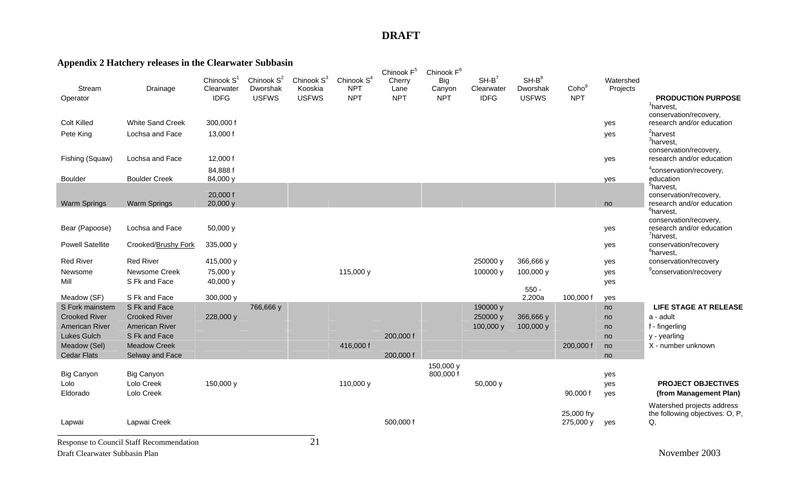# **Appendix 2 Hatchery releases in the Clearwater Subbasin**

| Stream<br>Operator              | Drainage                                        | Chinook $S1$<br>Clearwater<br><b>IDFG</b> | Chinook S <sup>2</sup><br>Dworshak<br><b>USFWS</b> | Chinook S <sup>3</sup><br>Kooskia<br><b>USFWS</b> | Chinook S <sup>4</sup><br><b>NPT</b><br><b>NPT</b> | Chinook F <sup>5</sup><br>Cherry<br>Lane<br><b>NPT</b> | Chinook F <sup>6</sup><br>Big<br>Canyon<br><b>NPT</b> | $SH-B^7$<br>Clearwater<br><b>IDFG</b> | $SH-B^8$<br>Dworshak<br><b>USFWS</b> | Coho <sup>9</sup><br><b>NPT</b> | Watershed<br>Projects | <b>PRODUCTION PURPOSE</b><br>$1$ harvest,                                                    |
|---------------------------------|-------------------------------------------------|-------------------------------------------|----------------------------------------------------|---------------------------------------------------|----------------------------------------------------|--------------------------------------------------------|-------------------------------------------------------|---------------------------------------|--------------------------------------|---------------------------------|-----------------------|----------------------------------------------------------------------------------------------|
| <b>Colt Killed</b><br>Pete King | <b>White Sand Creek</b><br>Lochsa and Face      | 300,000 f<br>13,000 f                     |                                                    |                                                   |                                                    |                                                        |                                                       |                                       |                                      |                                 | yes<br>yes            | conservation/recovery,<br>research and/or education<br><sup>2</sup> harvest                  |
| Fishing (Squaw)                 | Lochsa and Face                                 | 12,000 f                                  |                                                    |                                                   |                                                    |                                                        |                                                       |                                       |                                      |                                 | yes                   | <sup>3</sup> harvest,<br>conservation/recovery,<br>research and/or education                 |
| <b>Boulder</b>                  | <b>Boulder Creek</b>                            | 84,888 f<br>84,000 y                      |                                                    |                                                   |                                                    |                                                        |                                                       |                                       |                                      |                                 | yes                   | <sup>4</sup> conservation/recovery,<br>education                                             |
| <b>Warm Springs</b>             | <b>Warm Springs</b>                             | 20,000 f<br>20,000 y                      |                                                    |                                                   |                                                    |                                                        |                                                       |                                       |                                      |                                 | no                    | $5$ harvest,<br>conservation/recovery,<br>research and/or education                          |
| Bear (Papoose)                  | Lochsa and Face                                 | 50,000 y                                  |                                                    |                                                   |                                                    |                                                        |                                                       |                                       |                                      |                                 | yes                   | <sup>6</sup> harvest,<br>conservation/recovery,<br>research and/or education<br>$7$ harvest, |
| <b>Powell Satellite</b>         | Crooked/Brushy Fork                             | 335,000 y                                 |                                                    |                                                   |                                                    |                                                        |                                                       |                                       |                                      |                                 | yes                   | conservation/recovery<br><sup>8</sup> harvest,                                               |
| <b>Red River</b>                | <b>Red River</b>                                | 415,000 y                                 |                                                    |                                                   |                                                    |                                                        |                                                       | 250000 y                              | 366,666 y                            |                                 | yes                   | conservation/recovery                                                                        |
| Newsome<br>Mill                 | Newsome Creek<br>S Fk and Face                  | 75,000 y<br>40,000 y                      |                                                    |                                                   | 115,000 y                                          |                                                        |                                                       | 100000 y                              | 100,000 y<br>$550 -$                 |                                 | yes<br>yes            | <sup>9</sup> conservation/recovery                                                           |
| Meadow (SF)                     | S Fk and Face                                   | 300,000 y                                 |                                                    |                                                   |                                                    |                                                        |                                                       |                                       | 2,200a                               | 100,000 f                       | yes                   |                                                                                              |
| S Fork mainstem                 | S Fk and Face                                   |                                           | 766,666 y                                          |                                                   |                                                    |                                                        |                                                       | 190000 y                              |                                      |                                 | no                    | <b>LIFE STAGE AT RELEASE</b>                                                                 |
| <b>Crooked River</b>            | <b>Crooked River</b>                            | 228,000 y                                 |                                                    |                                                   |                                                    |                                                        |                                                       | 250000 y                              | 366,666 y                            |                                 | no                    | a - adult                                                                                    |
| <b>American River</b>           | American River                                  |                                           |                                                    |                                                   |                                                    |                                                        |                                                       | 100,000 y                             | 100,000 y                            |                                 | no                    | f - fingerling                                                                               |
| <b>Lukes Gulch</b>              | S Fk and Face                                   |                                           |                                                    |                                                   |                                                    | 200,000 f                                              |                                                       |                                       |                                      |                                 | no                    | y - yearling                                                                                 |
| Meadow (Sel)                    | <b>Meadow Creek</b>                             |                                           |                                                    |                                                   | 416,000 f                                          |                                                        |                                                       |                                       |                                      | 200,000 f                       | no                    | X - number unknown                                                                           |
| <b>Cedar Flats</b>              | Selway and Face                                 |                                           |                                                    |                                                   |                                                    | 200,000 f                                              |                                                       |                                       |                                      |                                 | no                    |                                                                                              |
| <b>Big Canyon</b>               | <b>Big Canyon</b>                               |                                           |                                                    |                                                   |                                                    |                                                        | 150,000 y<br>800,000 f                                |                                       |                                      |                                 | yes                   |                                                                                              |
| Lolo                            | Lolo Creek                                      | 150,000 y                                 |                                                    |                                                   | 110,000 y                                          |                                                        |                                                       | 50,000 y                              |                                      |                                 | yes                   | <b>PROJECT OBJECTIVES</b>                                                                    |
| Eldorado                        | Lolo Creek                                      |                                           |                                                    |                                                   |                                                    |                                                        |                                                       |                                       |                                      | 90,000 f                        | yes                   | (from Management Plan)                                                                       |
| Lapwai                          | Lapwai Creek                                    |                                           |                                                    |                                                   |                                                    | 500,000 f                                              |                                                       |                                       |                                      | 25,000 fry<br>275,000 y         | yes                   | Watershed projects address<br>the following objectives: O, P,<br>Q,                          |
|                                 | <b>Response to Council Staff Recommendation</b> |                                           |                                                    | 21                                                |                                                    |                                                        |                                                       |                                       |                                      |                                 |                       |                                                                                              |

Draft Clearwater Subbasin Plan